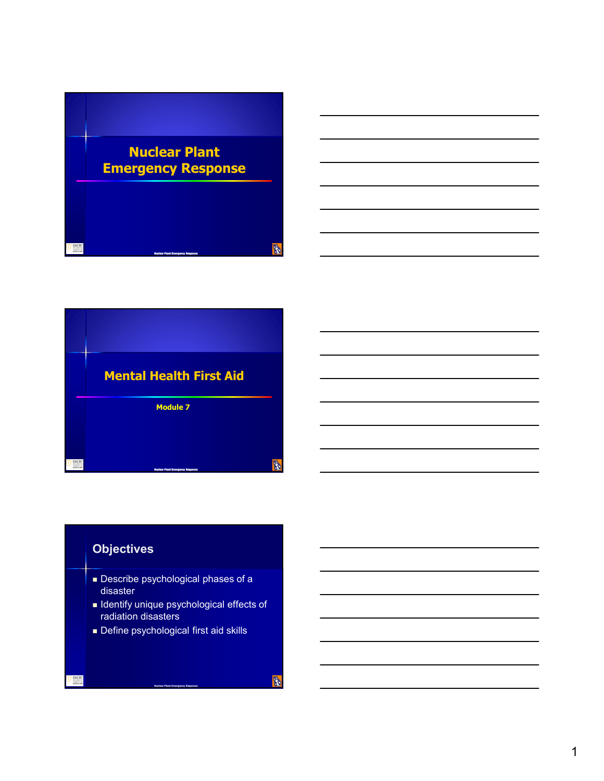



## **Objectives**

- **Describe psychological phases of a** disaster
- **In Identify unique psychological effects of** radiation disasters
- Define psychological first aid skills

**Nuclear Plant Emergency Response**

**B**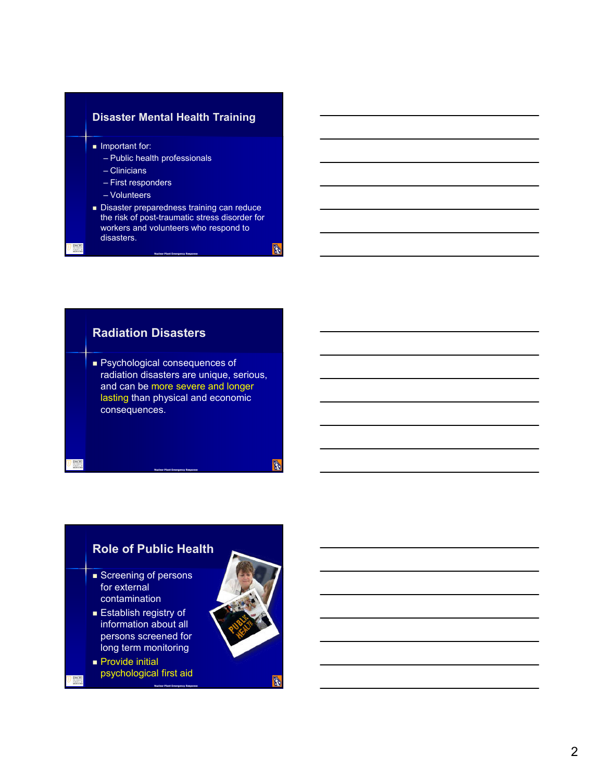#### **Disaster Mental Health Training**

 $\blacksquare$  Important for:

- Public health professionals
- Clinicians
- First responders
- Volunteers
- Disaster preparedness training can reduce the risk of post-traumatic stress disorder for workers and volunteers who respond to disasters.

**Nuclear Plant Emergency Response**

**R** 

Feb.

#### **Radiation Disasters**

**Psychological consequences of** radiation disasters are unique, serious, and can be more severe and longer lasting than physical and economic consequences.

**Nuclear Plant Emergency Response**

## **Role of Public Health**

- Screening of persons for external contamination
- **Establish registry of** information about all persons screened for long term monitoring
- **Provide initial** psychological first aid



Ŵ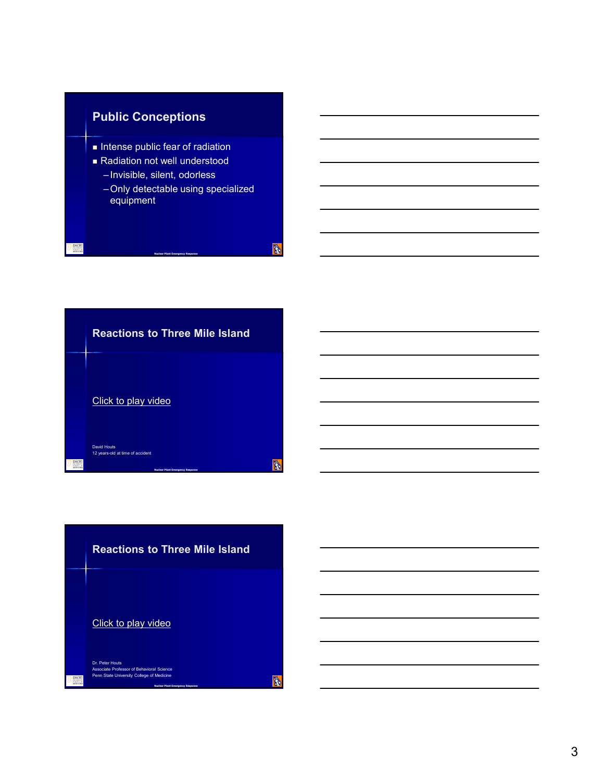



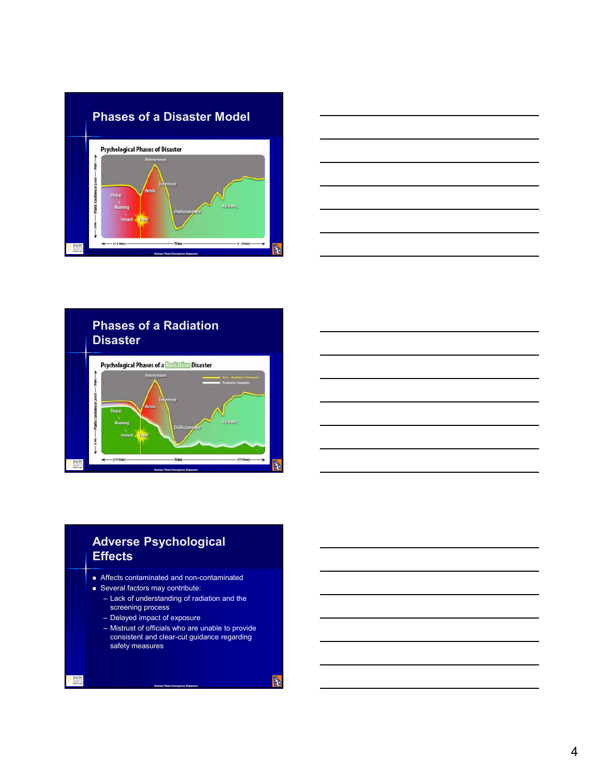





## **Adverse Psychological Effects**

- Affects contaminated and non-contaminated
- Several factors may contribute:
	- Lack of understanding of radiation and the screening process
	- Delayed impact of exposure
	- Mistrust of officials who are unable to provide consistent and clear-cut guidance regarding safety measures

**Nuclear Plant Emergency Response**

**B**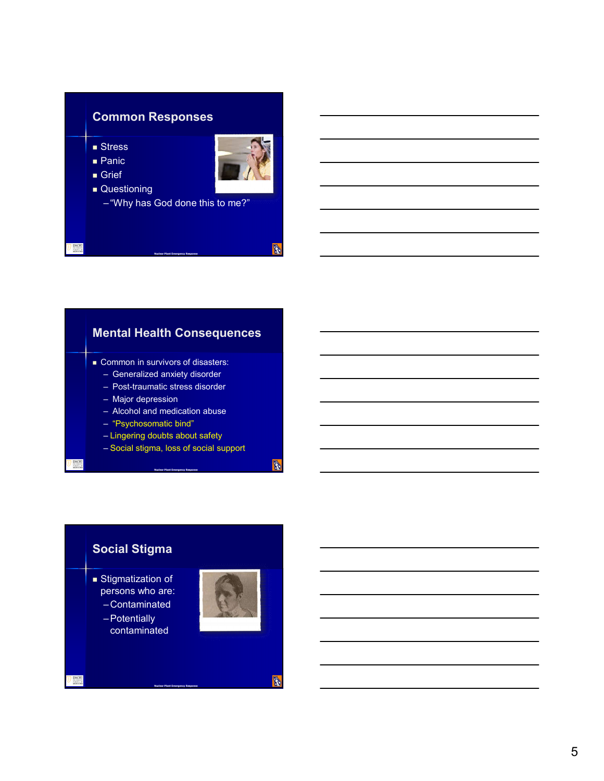# **Common Responses**

- **Stress**
- **Panic**
- Grief
- **Questioning**

– "Why has God done this to me?"

**Nuclear Plant Emergency Response**

Fo.

**B** 

R.

# **Mental Health Consequences**

- Common in survivors of disasters:
	- Generalized anxiety disorder
	- Post-traumatic stress disorder
	- Major depression
	- Alcohol and medication abuse
	- "Psychosomatic bind"
	- Lingering doubts about safety
	- Social stigma, loss of social support

**Nuclear Plant Emergency Response**

**Nuclear Plant Emergency Response**

## **Social Stigma**

- **s** Stigmatization of persons who are:
	- –Contaminated
	- –Potentially contaminated

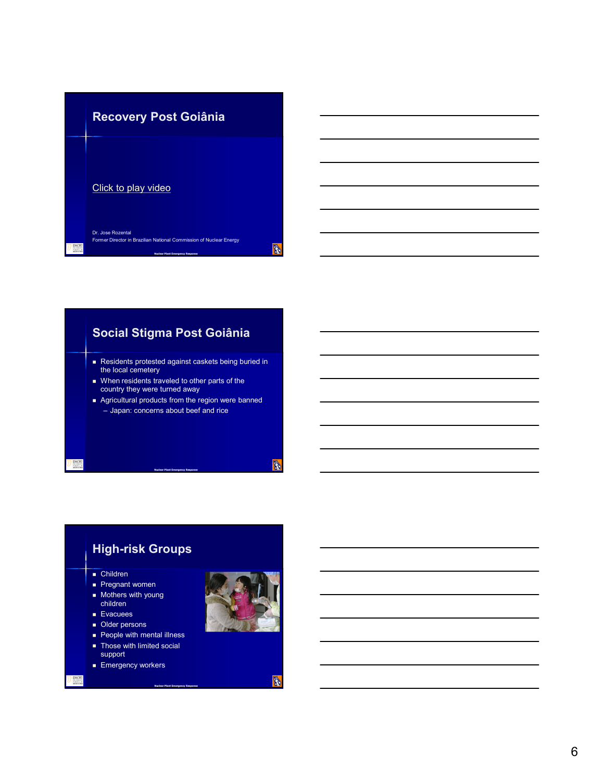

# **Social Stigma Post Goiânia**

- Residents protested against caskets being buried in the local cemetery
- When residents traveled to other parts of the country they were turned away
- Agricultural products from the region were banned – Japan: concerns about beef and rice

**Nuclear Plant Emergency Response**

#### **High-risk Groups** ■ Children **Pregnant women Mothers with young** children **Evacuees**

**Nuclear Plant Emergency Response**

- Older persons
- **People with mental illness**
- **Those with limited social**

support

**Emergency workers** 

EMORT



**B**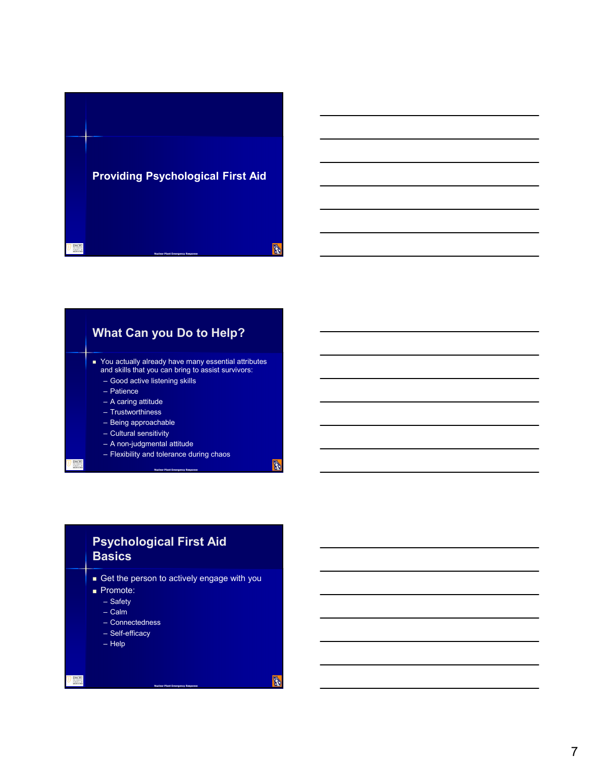



## **Psychological First Aid Basics**

Get the person to actively engage with you

**Nuclear Plant Emergency Response**

- Promote:
	- Safety
	- Calm
	- Connectedness
	- Self-efficacy
	- Help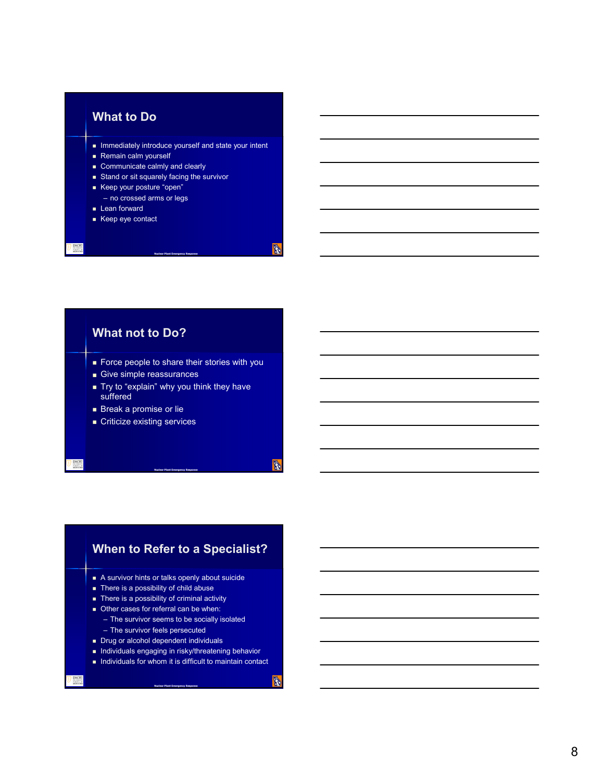#### **What to Do**

- **IMMED INTERFERITY INTERFERIT AND INTERFERIT IN A LIME INTERFERIT** Intent
- Remain calm yourself
- Communicate calmly and clearly
- Stand or sit squarely facing the survivor
- Keep your posture "open"
	- no crossed arms or legs
- **Lean forward**
- Keep eye contact

#### **What not to Do?**

Force people to share their stories with you

**Nuclear Plant Emergency Response**

**R** 

R.

Ō,

- Give simple reassurances
- Try to "explain" why you think they have suffered

**Nuclear Plant Emergency Response**

- **Break a promise or lie**
- **Criticize existing services**

# **When to Refer to a Specialist?**

- A survivor hints or talks openly about suicide
- There is a possibility of child abuse
- $\blacksquare$  There is a possibility of criminal activity
- Other cases for referral can be when:
	- The survivor seems to be socially isolated
	- The survivor feels persecuted
- Drug or alcohol dependent individuals
- **Individuals engaging in risky/threatening behavior**

**Nuclear Plant Emergency Response**

 $\blacksquare$  Individuals for whom it is difficult to maintain contact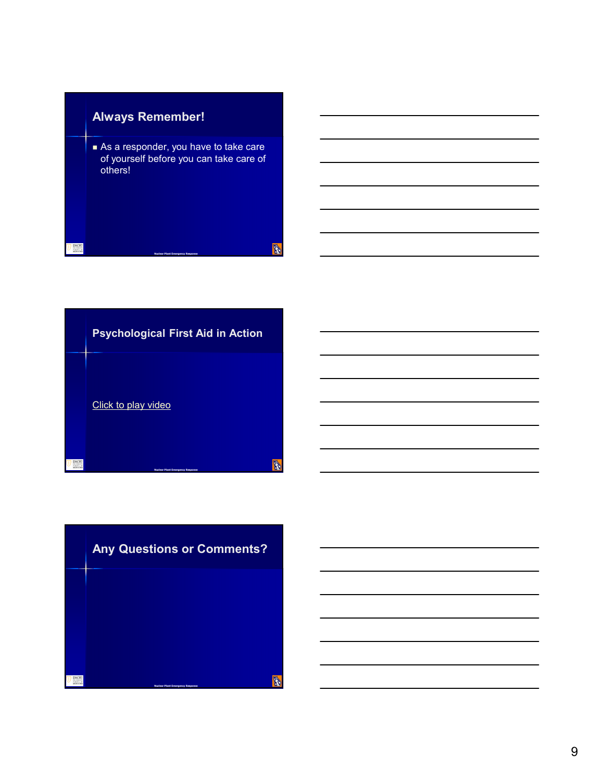



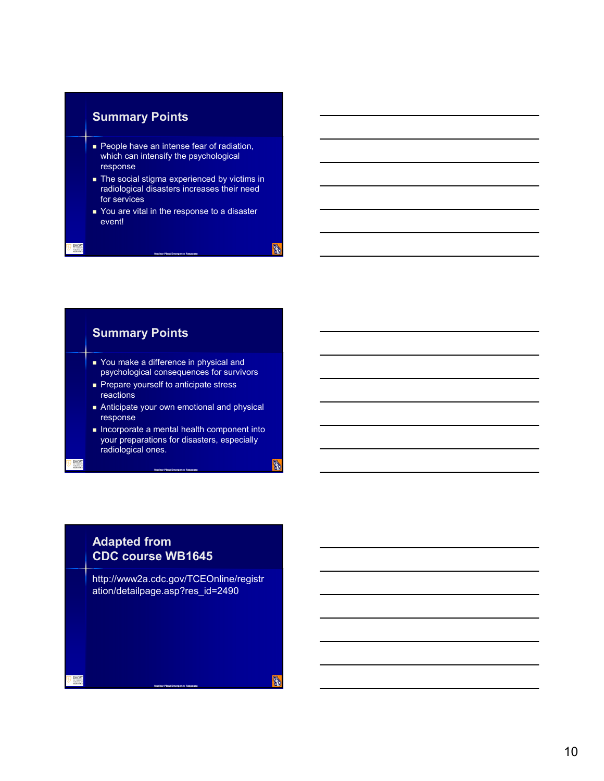#### **Summary Points**

- **People have an intense fear of radiation,** which can intensify the psychological response
- The social stigma experienced by victims in radiological disasters increases their need for services
- You are vital in the response to a disaster event!

**Nuclear Plant Emergency Response**

**B** 

**B** 

A

#### **Summary Points** ■ You make a difference in physical and psychological consequences for survivors Prepare yourself to anticipate stress reactions Anticipate your own emotional and physical response  $\blacksquare$  Incorporate a mental health component into your preparations for disasters, especially radiological ones.

**Nuclear Plant Emergency Response**

### **Adapted from CDC course WB1645**

http://www2a.cdc.gov/TCEOnline/registr ation/detailpage.asp?res\_id=2490